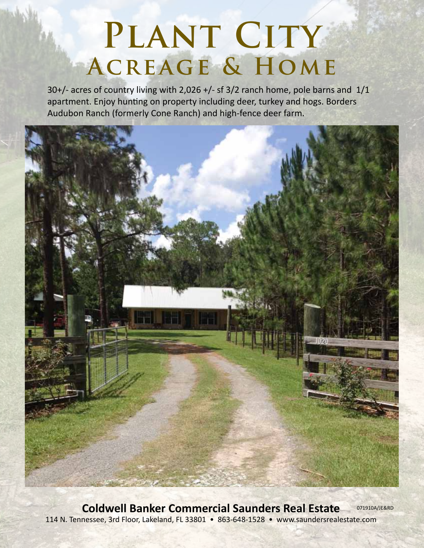# PLANT CITY **Acreage & Home**

30+/- acres of country living with 2,026 +/- sf 3/2 ranch home, pole barns and 1/1 apartment. Enjoy hunting on property including deer, turkey and hogs. Borders Audubon Ranch (formerly Cone Ranch) and high-fence deer farm.



**Coldwell Banker Commercial Saunders Real Estate** 114 N. Tennessee, 3rd Floor, Lakeland, FL 33801 • 863-648-1528 • www.saundersrealestate.com 071910A/JE&RD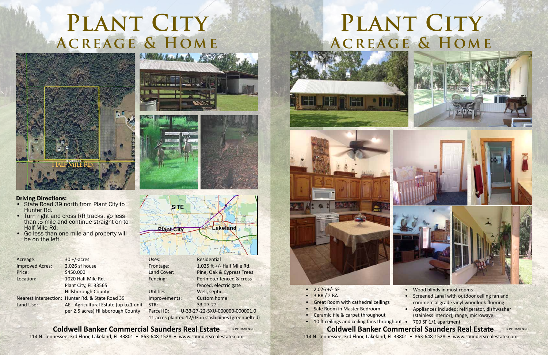**Coldwell Banker Commercial Saunders Real Estate** 114 N. Tennessee, 3rd Floor, Lakeland, FL 33801 • 863-648-1528 • www.saundersrealestate.com

# PLANT CITY **Acreage & Home**



- $2,026 +/-$  SF
- $-3 BR / 2 BA$
- Great Room with cathedral ceilings
- Safe Room in Master Bedroom
- Ceramic tile & carpet throughout
- 10 ft ceilings and ceiling fans throughout 700 SF 1/1 apartment









114 N. Tennessee, 3rd Floor, Lakeland, FL 33801 • 863-648-1528 • www.saundersrealestate.com

- State Road 39 north from Plant City to Hunter Rd.
- Turn right and cross RR tracks, go less than .5 mile and continue straight on to Half Mile Rd.
- Go less than one mile and property will be on the left.



Land Cover: Pine, Oak & Cypress Trees Fencing: Perimeter fenced & cross fenced, electric gate Parcel ID: U-33-27-22-5XU-000000-000001.0

11 acres planted 12/03 in slash pines (greenbelted)

- Wood blinds in most rooms
- Screened Lanai with outdoor ceiling fan and commercial grade vinyl woodlook flooring
- Appliances included: refrigerator, dishwasher
- (stainless interior), range, microwave

#### **Coldwell Banker Commercial Saunders Real Estate** 071910A/JE&RD

| Acreage:               | $30 + / - \text{acres}$                          |
|------------------------|--------------------------------------------------|
| <b>Improved Acres:</b> | 2,026 sf house                                   |
| Price:                 | \$450,000                                        |
| Location:              | 1020 Half Mile Rd.                               |
|                        | Plant City, FL 33565                             |
|                        | <b>Hillsborough County</b>                       |
|                        | Nearest Intersection: Hunter Rd. & State Road 39 |
| Land Use:              | AE - Agricultural Estate (up to 1 unit           |
|                        | per 2.5 acres) Hillsborough County               |
|                        |                                                  |



Utilities: Well, septic Improvements: Custom home STR: 33-27-22





### PLANT CITY **Acreage & Home** 2 State of the Controller Party